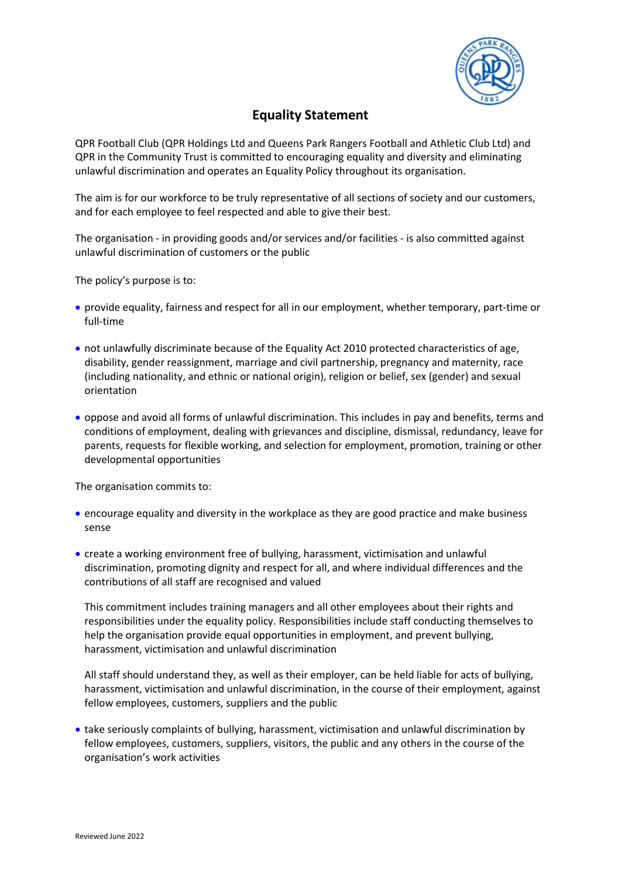

## **Equality Statement**

QPR Football Club (QPR Holdings Ltd and Queens Park Rangers Football and Athletic Club Ltd) and QPR in the Community Trust is committed to encouraging equality and diversity and eliminating unlawful discrimination and operates an Equality Policy throughout its organisation.

The aim is for our workforce to be truly representative of all sections of society and our customers, and for each employee to feel respected and able to give their best.

The organisation - in providing goods and/or services and/or facilities - is also committed against unlawful discrimination of customers or the public

The policy's purpose is to:

- provide equality, fairness and respect for all in our employment, whether temporary, part-time or full-time
- not unlawfully discriminate because of the Equality Act 2010 protected characteristics of age, disability, gender reassignment, marriage and civil partnership, pregnancy and maternity, race (including nationality, and ethnic or national origin), religion or belief, sex (gender) and sexual orientation
- oppose and avoid all forms of unlawful discrimination. This includes in pay and benefits, terms and conditions of employment, dealing with grievances and discipline, dismissal, redundancy, leave for parents, requests for flexible working, and selection for employment, promotion, training or other developmental opportunities

The organisation commits to:

- encourage equality and diversity in the workplace as they are good practice and make business sense
- create a working environment free of bullying, harassment, victimisation and unlawful discrimination, promoting dignity and respect for all, and where individual differences and the contributions of all staff are recognised and valued

This commitment includes training managers and all other employees about their rights and responsibilities under the equality policy. Responsibilities include staff conducting themselves to help the organisation provide equal opportunities in employment, and prevent bullying, harassment, victimisation and unlawful discrimination

All staff should understand they, as well as their employer, can be held liable for acts of bullying, harassment, victimisation and unlawful discrimination, in the course of their employment, against fellow employees, customers, suppliers and the public

• take seriously complaints of bullying, harassment, victimisation and unlawful discrimination by fellow employees, customers, suppliers, visitors, the public and any others in the course of the organisation's work activities